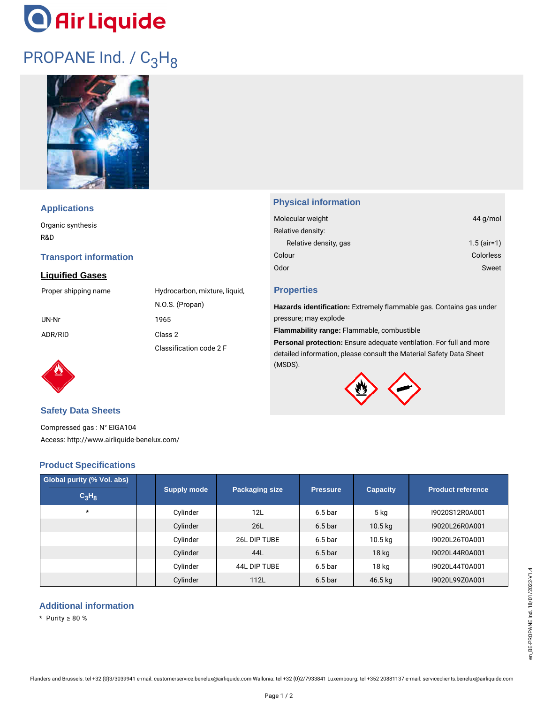# **O** Air Liquide

### PROPANE Ind. / C<sub>3</sub>H<sub>8</sub>



#### **Applications**

Organic synthesis R&D

#### **Transport information**

#### **Liquified Gases**



#### **Physical information**

| 44 g/mol         |
|------------------|
|                  |
| $1.5$ (air=1)    |
| <b>Colorless</b> |
| Sweet            |
|                  |

#### **Properties**

**Hazards identification:** Extremely flammable gas. Contains gas under pressure; may explode

**Flammability range:** Flammable, combustible

**Personal protection:** Ensure adequate ventilation. For full and more detailed information, please consult the Material Safety Data Sheet (MSDS).



#### **Safety Data Sheets**

Compressed gas : N° EIGA104 Access: http://www.airliquide-benelux.com/

#### **Product Specifications**

| Global purity (% Vol. abs)<br>$C_3H_8$ | <b>Supply mode</b> | <b>Packaging size</b> | <b>Pressure</b>    | <b>Capacity</b>     | <b>Product reference</b> |
|----------------------------------------|--------------------|-----------------------|--------------------|---------------------|--------------------------|
| $\star$                                | Cylinder           | 12L                   | 6.5 <sub>bar</sub> | 5 <sub>kg</sub>     | 19020S12R0A001           |
|                                        | Cylinder           | 26L                   | 6.5 <sub>bar</sub> | $10.5$ kg           | 19020L26R0A001           |
|                                        | Cylinder           | 26L DIP TUBE          | 6.5 <sub>bar</sub> | $10.5\,\mathrm{kg}$ | 19020L26T0A001           |
|                                        | Cylinder           | 44L                   | 6.5 <sub>bar</sub> | 18 kg               | 19020L44R0A001           |
|                                        | Cylinder           | 44L DIP TUBE          | 6.5 <sub>bar</sub> | 18 kg               | 19020L44T0A001           |
|                                        | Cylinder           | 112L                  | 6.5 <sub>bar</sub> | 46.5 kg             | 19020L99Z0A001           |

#### **Additional information**

\* Purity ≥ 80 %